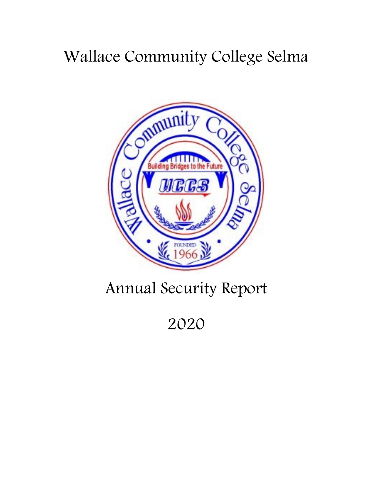# Wallace Community College Selma



# Annual Security Report

2020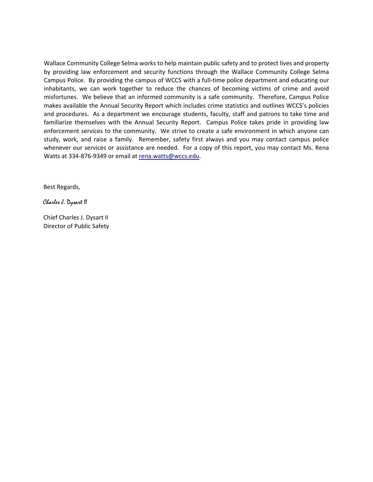Wallace Community College Selma works to help maintain public safety and to protect lives and property by providing law enforcement and security functions through the Wallace Community College Selma Campus Police. By providing the campus of WCCS with a full-time police department and educating our inhabitants, we can work together to reduce the chances of becoming victims of crime and avoid misfortunes. We believe that an informed community is a safe community. Therefore, Campus Police makes available the Annual Security Report which includes crime statistics and outlines WCCS's policies and procedures. As a department we encourage students, faculty, staff and patrons to take time and familiarize themselves with the Annual Security Report. Campus Police takes pride in providing law enforcement services to the community. We strive to create a safe environment in which anyone can study, work, and raise a family. Remember, safety first always and you may contact campus police whenever our services or assistance are needed. For a copy of this report, you may contact Ms. Rena Watts at 334-876-9349 or email at rena.watts@wccs.edu.

Best Regards,

Charles J. Dysart II

Chief Charles J. Dysart II Director of Public Safety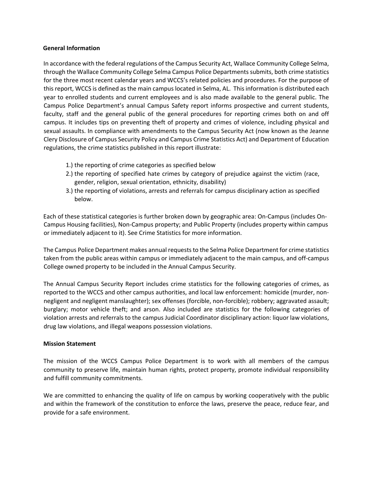#### **General Information**

In accordance with the federal regulations of the Campus Security Act, Wallace Community College Selma, through the Wallace Community College Selma Campus Police Departments submits, both crime statistics for the three most recent calendar years and WCCS's related policies and procedures. For the purpose of this report, WCCS is defined as the main campus located in Selma, AL. This information is distributed each year to enrolled students and current employees and is also made available to the general public. The Campus Police Department's annual Campus Safety report informs prospective and current students, faculty, staff and the general public of the general procedures for reporting crimes both on and off campus. It includes tips on preventing theft of property and crimes of violence, including physical and sexual assaults. In compliance with amendments to the Campus Security Act (now known as the Jeanne Clery Disclosure of Campus Security Policy and Campus Crime Statistics Act) and Department of Education regulations, the crime statistics published in this report illustrate:

- 1.) the reporting of crime categories as specified below
- 2.) the reporting of specified hate crimes by category of prejudice against the victim (race, gender, religion, sexual orientation, ethnicity, disability)
- 3.) the reporting of violations, arrests and referrals for campus disciplinary action as specified below.

Each of these statistical categories is further broken down by geographic area: On‐Campus (includes On‐ Campus Housing facilities), Non‐Campus property; and Public Property (includes property within campus or immediately adjacent to it). See Crime Statistics for more information.

The Campus Police Department makes annual requeststo the Selma Police Department for crime statistics taken from the public areas within campus or immediately adjacent to the main campus, and off‐campus College owned property to be included in the Annual Campus Security.

The Annual Campus Security Report includes crime statistics for the following categories of crimes, as reported to the WCCS and other campus authorities, and local law enforcement: homicide (murder, non‐ negligent and negligent manslaughter); sex offenses (forcible, non‐forcible); robbery; aggravated assault; burglary; motor vehicle theft; and arson. Also included are statistics for the following categories of violation arrests and referrals to the campus Judicial Coordinator disciplinary action: liquor law violations, drug law violations, and illegal weapons possession violations.

## **Mission Statement**

The mission of the WCCS Campus Police Department is to work with all members of the campus community to preserve life, maintain human rights, protect property, promote individual responsibility and fulfill community commitments.

We are committed to enhancing the quality of life on campus by working cooperatively with the public and within the framework of the constitution to enforce the laws, preserve the peace, reduce fear, and provide for a safe environment.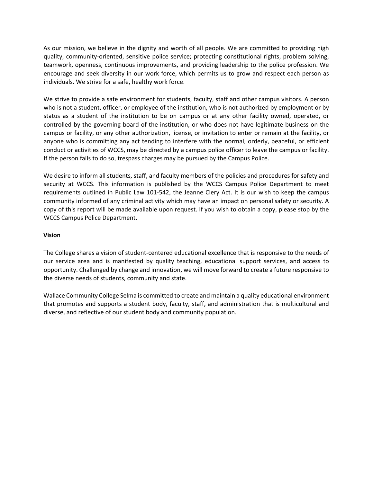As our mission, we believe in the dignity and worth of all people. We are committed to providing high quality, community-oriented, sensitive police service; protecting constitutional rights, problem solving, teamwork, openness, continuous improvements, and providing leadership to the police profession. We encourage and seek diversity in our work force, which permits us to grow and respect each person as individuals. We strive for a safe, healthy work force.

We strive to provide a safe environment for students, faculty, staff and other campus visitors. A person who is not a student, officer, or employee of the institution, who is not authorized by employment or by status as a student of the institution to be on campus or at any other facility owned, operated, or controlled by the governing board of the institution, or who does not have legitimate business on the campus or facility, or any other authorization, license, or invitation to enter or remain at the facility, or anyone who is committing any act tending to interfere with the normal, orderly, peaceful, or efficient conduct or activities of WCCS, may be directed by a campus police officer to leave the campus or facility. If the person fails to do so, trespass charges may be pursued by the Campus Police.

We desire to inform all students, staff, and faculty members of the policies and procedures for safety and security at WCCS. This information is published by the WCCS Campus Police Department to meet requirements outlined in Public Law 101‐542, the Jeanne Clery Act. It is our wish to keep the campus community informed of any criminal activity which may have an impact on personal safety or security. A copy of this report will be made available upon request. If you wish to obtain a copy, please stop by the WCCS Campus Police Department.

# **Vision**

The College shares a vision of student‐centered educational excellence that is responsive to the needs of our service area and is manifested by quality teaching, educational support services, and access to opportunity. Challenged by change and innovation, we will move forward to create a future responsive to the diverse needs of students, community and state.

Wallace Community College Selma is committed to create and maintain a quality educational environment that promotes and supports a student body, faculty, staff, and administration that is multicultural and diverse, and reflective of our student body and community population.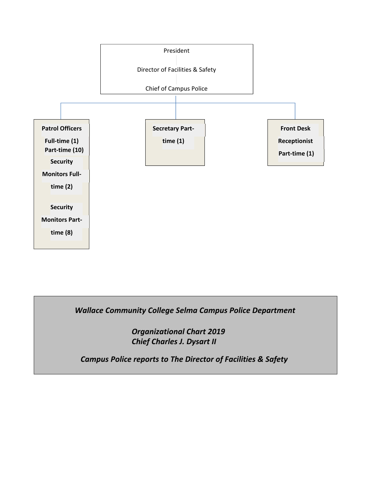

 *Wallace Community College Selma Campus Police Department*

*Organizational Chart 2019 Chief Charles J. Dysart II*

 *Campus Police reports to The Director of Facilities & Safety*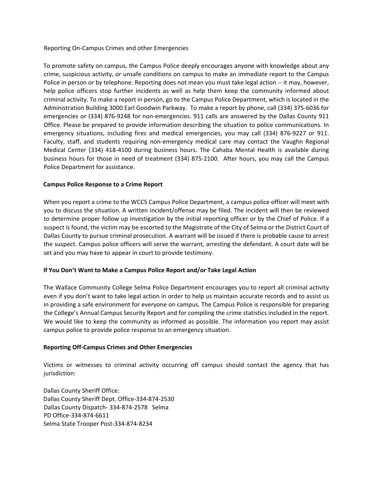## Reporting On‐Campus Crimes and other Emergencies

To promote safety on campus, the Campus Police deeply encourages anyone with knowledge about any crime, suspicious activity, or unsafe conditions on campus to make an immediate report to the Campus Police in person or by telephone. Reporting does not mean you must take legal action ‐‐ it may, however, help police officers stop further incidents as well as help them keep the community informed about criminal activity. To make a report in person, go to the Campus Police Department, which is located in the Administration Building 3000 Earl Goodwin Parkway. To make a report by phone, call (334) 375‐6036 for emergencies or (334) 876‐9248 for non‐emergencies. 911 calls are answered by the Dallas County 911 Office. Please be prepared to provide information describing the situation to police communications. In emergency situations, including fires and medical emergencies, you may call (334) 876‐9227 or 911. Faculty, staff, and students requiring non‐emergency medical care may contact the Vaughn Regional Medical Center (334) 418‐4100 during business hours. The Cahaba Mental Health is available during business hours for those in need of treatment (334) 875‐2100. After hours, you may call the Campus Police Department for assistance.

#### **Campus Police Response to a Crime Report**

When you report a crime to the WCCS Campus Police Department, a campus police officer will meet with you to discuss the situation. A written incident/offense may be filed. The incident will then be reviewed to determine proper follow up investigation by the initial reporting officer or by the Chief of Police. If a suspect is found, the victim may be escorted to the Magistrate of the City of Selma or the District Court of Dallas County to pursue criminal prosecution. A warrant will be issued if there is probable cause to arrest the suspect. Campus police officers will serve the warrant, arresting the defendant. A court date will be set and you may have to appear in court to provide testimony.

## **If You Don't Want to Make a Campus Police Report and/or Take Legal Action**

The Wallace Community College Selma Police Department encourages you to report all criminal activity even if you don't want to take legal action in order to help us maintain accurate records and to assist us in providing a safe environment for everyone on campus. The Campus Police is responsible for preparing the College's Annual Campus Security Report and for compiling the crime statistics included in the report. We would like to keep the community as informed as possible. The information you report may assist campus police to provide police response to an emergency situation.

## **Reporting Off‐Campus Crimes and Other Emergencies**

Victims or witnesses to criminal activity occurring off campus should contact the agency that has jurisdiction:

Dallas County Sheriff Office: Dallas County Sheriff Dept. Office‐334‐874‐2530 Dallas County Dispatch‐ 334‐874‐2578 Selma PD Office‐334‐874‐6611 Selma State Trooper Post‐334‐874‐8234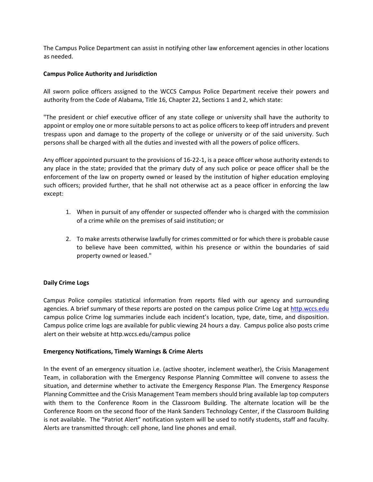The Campus Police Department can assist in notifying other law enforcement agencies in other locations as needed.

# **Campus Police Authority and Jurisdiction**

All sworn police officers assigned to the WCCS Campus Police Department receive their powers and authority from the Code of Alabama, Title 16, Chapter 22, Sections 1 and 2, which state:

"The president or chief executive officer of any state college or university shall have the authority to appoint or employ one or more suitable persons to act as police officers to keep off intruders and prevent trespass upon and damage to the property of the college or university or of the said university. Such persons shall be charged with all the duties and invested with all the powers of police officers.

Any officer appointed pursuant to the provisions of 16‐22‐1, is a peace officer whose authority extends to any place in the state; provided that the primary duty of any such police or peace officer shall be the enforcement of the law on property owned or leased by the institution of higher education employing such officers; provided further, that he shall not otherwise act as a peace officer in enforcing the law except:

- 1. When in pursuit of any offender or suspected offender who is charged with the commission of a crime while on the premises of said institution; or
- 2. To make arrests otherwise lawfully for crimes committed or for which there is probable cause to believe have been committed, within his presence or within the boundaries of said property owned or leased."

## **Daily Crime Logs**

Campus Police compiles statistical information from reports filed with our agency and surrounding agencies. A brief summary of these reports are posted on the campus police Crime Log at http.wccs.edu campus police Crime log summaries include each incident's location, type, date, time, and disposition. Campus police crime logs are available for public viewing 24 hours a day. Campus police also posts crime alert on their website at http.wccs.edu/campus police

## **Emergency Notifications, Timely Warnings & Crime Alerts**

In the event of an emergency situation i.e. (active shooter, inclement weather), the Crisis Management Team, in collaboration with the Emergency Response Planning Committee will convene to assess the situation, and determine whether to activate the Emergency Response Plan. The Emergency Response Planning Committee and the Crisis Management Team members should bring available lap top computers with them to the Conference Room in the Classroom Building. The alternate location will be the Conference Room on the second floor of the Hank Sanders Technology Center, if the Classroom Building is not available. The "Patriot Alert" notification system will be used to notify students, staff and faculty. Alerts are transmitted through: cell phone, land line phones and email.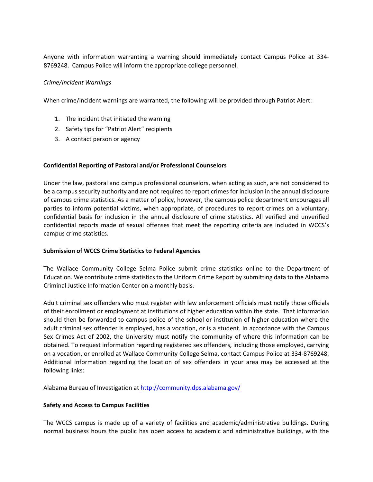Anyone with information warranting a warning should immediately contact Campus Police at 334‐ 8769248. Campus Police will inform the appropriate college personnel.

## *Crime/Incident Warnings*

When crime/incident warnings are warranted, the following will be provided through Patriot Alert:

- 1. The incident that initiated the warning
- 2. Safety tips for "Patriot Alert" recipients
- 3. A contact person or agency

## **Confidential Reporting of Pastoral and/or Professional Counselors**

Under the law, pastoral and campus professional counselors, when acting as such, are not considered to be a campus security authority and are not required to report crimes for inclusion in the annual disclosure of campus crime statistics. As a matter of policy, however, the campus police department encourages all parties to inform potential victims, when appropriate, of procedures to report crimes on a voluntary, confidential basis for inclusion in the annual disclosure of crime statistics. All verified and unverified confidential reports made of sexual offenses that meet the reporting criteria are included in WCCS's campus crime statistics.

## **Submission of WCCS Crime Statistics to Federal Agencies**

The Wallace Community College Selma Police submit crime statistics online to the Department of Education. We contribute crime statistics to the Uniform Crime Report by submitting data to the Alabama Criminal Justice Information Center on a monthly basis.

Adult criminal sex offenders who must register with law enforcement officials must notify those officials of their enrollment or employment at institutions of higher education within the state. That information should then be forwarded to campus police of the school or institution of higher education where the adult criminal sex offender is employed, has a vocation, or is a student. In accordance with the Campus Sex Crimes Act of 2002, the University must notify the community of where this information can be obtained. To request information regarding registered sex offenders, including those employed, carrying on a vocation, or enrolled at Wallace Community College Selma, contact Campus Police at 334‐8769248. Additional information regarding the location of sex offenders in your area may be accessed at the following links:

Alabama Bureau of Investigation at http://community.dps.alabama.gov/

## **Safety and Access to Campus Facilities**

The WCCS campus is made up of a variety of facilities and academic/administrative buildings. During normal business hours the public has open access to academic and administrative buildings, with the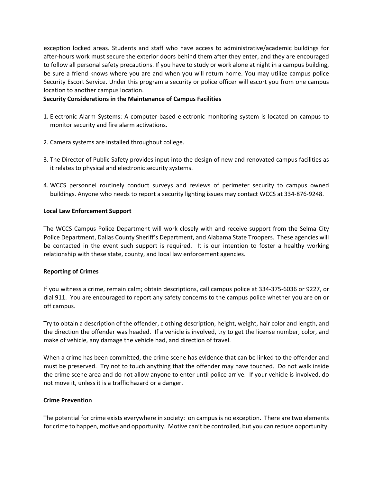exception locked areas. Students and staff who have access to administrative/academic buildings for after-hours work must secure the exterior doors behind them after they enter, and they are encouraged to follow all personal safety precautions. If you have to study or work alone at night in a campus building, be sure a friend knows where you are and when you will return home. You may utilize campus police Security Escort Service. Under this program a security or police officer will escort you from one campus location to another campus location.

## **Security Considerations in the Maintenance of Campus Facilities**

- 1. Electronic Alarm Systems: A computer‐based electronic monitoring system is located on campus to monitor security and fire alarm activations.
- 2. Camera systems are installed throughout college.
- 3. The Director of Public Safety provides input into the design of new and renovated campus facilities as it relates to physical and electronic security systems.
- 4. WCCS personnel routinely conduct surveys and reviews of perimeter security to campus owned buildings. Anyone who needs to report a security lighting issues may contact WCCS at 334‐876‐9248.

## **Local Law Enforcement Support**

The WCCS Campus Police Department will work closely with and receive support from the Selma City Police Department, Dallas County Sheriff's Department, and Alabama State Troopers. These agencies will be contacted in the event such support is required. It is our intention to foster a healthy working relationship with these state, county, and local law enforcement agencies.

## **Reporting of Crimes**

If you witness a crime, remain calm; obtain descriptions, call campus police at 334‐375‐6036 or 9227, or dial 911. You are encouraged to report any safety concerns to the campus police whether you are on or off campus.

Try to obtain a description of the offender, clothing description, height, weight, hair color and length, and the direction the offender was headed. If a vehicle is involved, try to get the license number, color, and make of vehicle, any damage the vehicle had, and direction of travel.

When a crime has been committed, the crime scene has evidence that can be linked to the offender and must be preserved. Try not to touch anything that the offender may have touched. Do not walk inside the crime scene area and do not allow anyone to enter until police arrive. If your vehicle is involved, do not move it, unless it is a traffic hazard or a danger.

## **Crime Prevention**

The potential for crime exists everywhere in society: on campus is no exception. There are two elements for crime to happen, motive and opportunity. Motive can't be controlled, but you can reduce opportunity.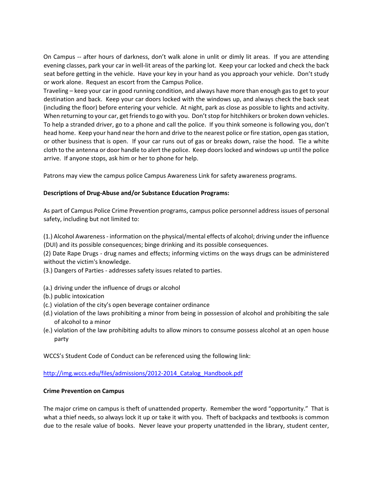On Campus ‐‐ after hours of darkness, don't walk alone in unlit or dimly lit areas. If you are attending evening classes, park your car in well‐lit areas of the parking lot. Keep your car locked and check the back seat before getting in the vehicle. Have your key in your hand as you approach your vehicle. Don't study or work alone. Request an escort from the Campus Police.

Traveling – keep your car in good running condition, and always have more than enough gas to get to your destination and back. Keep your car doors locked with the windows up, and always check the back seat (including the floor) before entering your vehicle. At night, park as close as possible to lights and activity. When returning to your car, get friends to go with you. Don't stop for hitchhikers or broken down vehicles. To help a stranded driver, go to a phone and call the police. If you think someone is following you, don't head home. Keep your hand near the horn and drive to the nearest police or fire station, open gas station, or other business that is open. If your car runs out of gas or breaks down, raise the hood. Tie a white cloth to the antenna or door handle to alert the police. Keep doorslocked and windows up until the police arrive. If anyone stops, ask him or her to phone for help.

Patrons may view the campus police Campus Awareness Link for safety awareness programs.

# **Descriptions of Drug‐Abuse and/or Substance Education Programs:**

As part of Campus Police Crime Prevention programs, campus police personnel address issues of personal safety, including but not limited to:

(1.) Alcohol Awareness ‐ information on the physical/mental effects of alcohol; driving under the influence (DUI) and its possible consequences; binge drinking and its possible consequences.

(2) Date Rape Drugs ‐ drug names and effects; informing victims on the ways drugs can be administered without the victim's knowledge.

- (3.) Dangers of Parties ‐ addresses safety issues related to parties.
- (a.) driving under the influence of drugs or alcohol
- (b.) public intoxication
- (c.) violation of the city's open beverage container ordinance
- (d.) violation of the laws prohibiting a minor from being in possession of alcohol and prohibiting the sale of alcohol to a minor
- (e.) violation of the law prohibiting adults to allow minors to consume possess alcohol at an open house party

WCCS's Student Code of Conduct can be referenced using the following link:

# http://img.wccs.edu/files/admissions/2012-2014 Catalog Handbook.pdf

## **Crime Prevention on Campus**

The major crime on campus is theft of unattended property. Remember the word "opportunity." That is what a thief needs, so always lock it up or take it with you. Theft of backpacks and textbooks is common due to the resale value of books. Never leave your property unattended in the library, student center,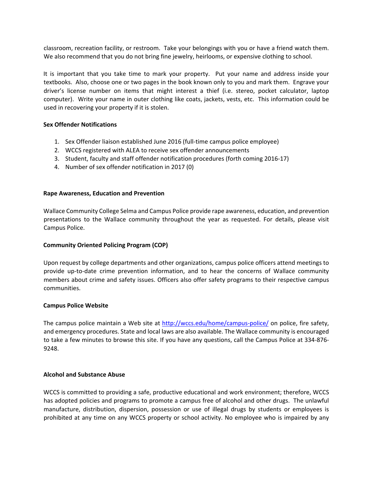classroom, recreation facility, or restroom. Take your belongings with you or have a friend watch them. We also recommend that you do not bring fine jewelry, heirlooms, or expensive clothing to school.

It is important that you take time to mark your property. Put your name and address inside your textbooks. Also, choose one or two pages in the book known only to you and mark them. Engrave your driver's license number on items that might interest a thief (i.e. stereo, pocket calculator, laptop computer). Write your name in outer clothing like coats, jackets, vests, etc. This information could be used in recovering your property if it is stolen.

#### **Sex Offender Notifications**

- 1. Sex Offender liaison established June 2016 (full‐time campus police employee)
- 2. WCCS registered with ALEA to receive sex offender announcements
- 3. Student, faculty and staff offender notification procedures (forth coming 2016‐17)
- 4. Number of sex offender notification in 2017 (0)

#### **Rape Awareness, Education and Prevention**

Wallace Community College Selma and Campus Police provide rape awareness, education, and prevention presentations to the Wallace community throughout the year as requested. For details, please visit Campus Police.

#### **Community Oriented Policing Program (COP)**

Upon request by college departments and other organizations, campus police officers attend meetings to provide up-to-date crime prevention information, and to hear the concerns of Wallace community members about crime and safety issues. Officers also offer safety programs to their respective campus communities.

#### **Campus Police Website**

The campus police maintain a Web site at http://wccs.edu/home/campus-police/ on police, fire safety, and emergency procedures. State and local laws are also available. The Wallace community is encouraged to take a few minutes to browse this site. If you have any questions, call the Campus Police at 334‐876‐ 9248.

#### **Alcohol and Substance Abuse**

WCCS is committed to providing a safe, productive educational and work environment; therefore, WCCS has adopted policies and programs to promote a campus free of alcohol and other drugs. The unlawful manufacture, distribution, dispersion, possession or use of illegal drugs by students or employees is prohibited at any time on any WCCS property or school activity. No employee who is impaired by any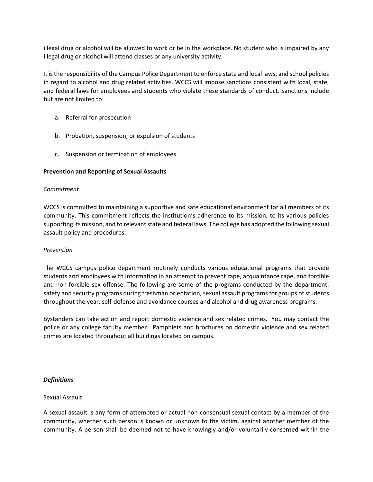illegal drug or alcohol will be allowed to work or be in the workplace. No student who is impaired by any illegal drug or alcohol will attend classes or any university activity.

It isthe responsibility of the Campus Police Department to enforce state and local laws, and school policies in regard to alcohol and drug related activities. WCCS will impose sanctions consistent with local, state, and federal laws for employees and students who violate these standards of conduct. Sanctions include but are not limited to:

- a. Referral for prosecution
- b. Probation, suspension, or expulsion of students
- c. Suspension or termination of employees

## **Prevention and Reporting of Sexual Assaults**

## *Commitment*

WCCS is committed to maintaining a supportive and safe educational environment for all members of its community. This commitment reflects the institution's adherence to its mission, to its various policies supporting its mission, and to relevant state and federal laws. The college has adopted the following sexual assault policy and procedures:

## *Prevention*

The WCCS campus police department routinely conducts various educational programs that provide students and employees with information in an attempt to prevent rape, acquaintance rape, and forcible and non‐forcible sex offense. The following are some of the programs conducted by the department: safety and security programs during freshman orientation, sexual assault programs for groups of students throughout the year, self‐defense and avoidance courses and alcohol and drug awareness programs.

Bystanders can take action and report domestic violence and sex related crimes. You may contact the police or any college faculty member. Pamphlets and brochures on domestic violence and sex related crimes are located throughout all buildings located on campus.

## *Definitions*

## Sexual Assault

A sexual assault is any form of attempted or actual non‐consensual sexual contact by a member of the community, whether such person is known or unknown to the victim, against another member of the community. A person shall be deemed not to have knowingly and/or voluntarily consented within the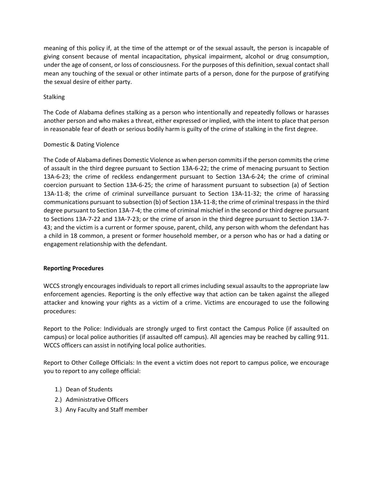meaning of this policy if, at the time of the attempt or of the sexual assault, the person is incapable of giving consent because of mental incapacitation, physical impairment, alcohol or drug consumption, under the age of consent, or loss of consciousness. For the purposes of this definition, sexual contact shall mean any touching of the sexual or other intimate parts of a person, done for the purpose of gratifying the sexual desire of either party.

# **Stalking**

The Code of Alabama defines stalking as a person who intentionally and repeatedly follows or harasses another person and who makes a threat, either expressed or implied, with the intent to place that person in reasonable fear of death or serious bodily harm is guilty of the crime of stalking in the first degree.

# Domestic & Dating Violence

The Code of Alabama defines Domestic Violence as when person commits if the person commitsthe crime of assault in the third degree pursuant to Section 13A‐6‐22; the crime of menacing pursuant to Section 13A‐6‐23; the crime of reckless endangerment pursuant to Section 13A‐6‐24; the crime of criminal coercion pursuant to Section 13A‐6‐25; the crime of harassment pursuant to subsection (a) of Section 13A‐11‐8; the crime of criminal surveillance pursuant to Section 13A‐11‐32; the crime of harassing communications pursuant to subsection (b) of Section 13A‐11‐8; the crime of criminal trespassin the third degree pursuant to Section 13A‐7‐4; the crime of criminal mischief in the second or third degree pursuant to Sections 13A‐7‐22 and 13A‐7‐23; or the crime of arson in the third degree pursuant to Section 13A‐7‐ 43; and the victim is a current or former spouse, parent, child, any person with whom the defendant has a child in 18 common, a present or former household member, or a person who has or had a dating or engagement relationship with the defendant.

## **Reporting Procedures**

WCCS strongly encourages individuals to report all crimes including sexual assaults to the appropriate law enforcement agencies. Reporting is the only effective way that action can be taken against the alleged attacker and knowing your rights as a victim of a crime. Victims are encouraged to use the following procedures:

Report to the Police: Individuals are strongly urged to first contact the Campus Police (if assaulted on campus) or local police authorities (if assaulted off campus). All agencies may be reached by calling 911. WCCS officers can assist in notifying local police authorities.

Report to Other College Officials: In the event a victim does not report to campus police, we encourage you to report to any college official:

- 1.) Dean of Students
- 2.) Administrative Officers
- 3.) Any Faculty and Staff member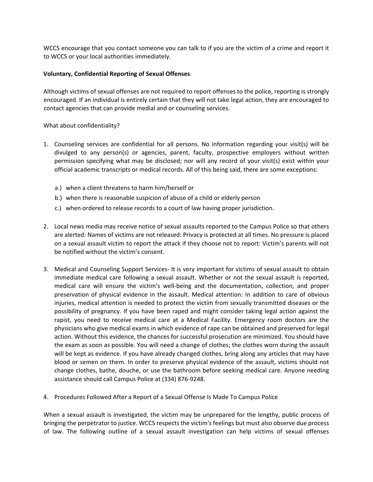WCCS encourage that you contact someone you can talk to if you are the victim of a crime and report it to WCCS or your local authorities immediately.

## **Voluntary, Confidential Reporting of Sexual Offenses**

Although victims of sexual offenses are not required to report offenses to the police, reporting is strongly encouraged. If an individual is entirely certain that they will not take legal action, they are encouraged to contact agencies that can provide medial and or counseling services.

## What about confidentiality?

- 1. Counseling services are confidential for all persons. No information regarding your visit(s) will be divulged to any person(s) or agencies, parent, faculty, prospective employers without written permission specifying what may be disclosed; nor will any record of your visit(s) exist within your official academic transcripts or medical records. All of this being said, there are some exceptions:
	- a.) when a client threatens to harm him/herself or
	- b.) when there is reasonable suspicion of abuse of a child or elderly person
	- c.) when ordered to release records to a court of law having proper jurisdiction.
- 2. Local news media may receive notice of sexual assaults reported to the Campus Police so that others are alerted: Names of victims are not released: Privacy is protected at all times. No pressure is placed on a sexual assault victim to report the attack if they choose not to report: Victim's parents will not be notified without the victim's consent.
- 3. Medical and Counseling Support Services‐ It is very important for victims of sexual assault to obtain immediate medical care following a sexual assault. Whether or not the sexual assault is reported, medical care will ensure the victim's well-being and the documentation, collection, and proper preservation of physical evidence in the assault. Medical attention: In addition to care of obvious injuries, medical attention is needed to protect the victim from sexually transmitted diseases or the possibility of pregnancy. If you have been raped and might consider taking legal action against the rapist, you need to receive medical care at a Medical Facility. Emergency room doctors are the physicians who give medical exams in which evidence of rape can be obtained and preserved for legal action. Without this evidence, the chances for successful prosecution are minimized. You should have the exam as soon as possible. You will need a change of clothes; the clothes worn during the assault will be kept as evidence. If you have already changed clothes, bring along any articles that may have blood or semen on them. In order to preserve physical evidence of the assault, victims should not change clothes, bathe, douche, or use the bathroom before seeking medical care. Anyone needing assistance should call Campus Police at (334) 876‐9248.
- 4. Procedures Followed After a Report of a Sexual Offense Is Made To Campus Police

When a sexual assault is investigated, the victim may be unprepared for the lengthy, public process of bringing the perpetrator to justice. WCCS respects the victim's feelings but must also observe due process of law. The following outline of a sexual assault investigation can help victims of sexual offenses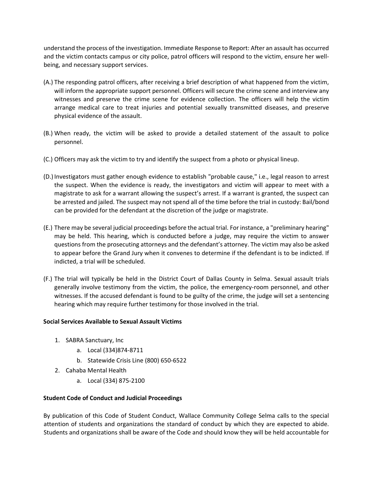understand the process of the investigation. Immediate Response to Report: After an assault has occurred and the victim contacts campus or city police, patrol officers will respond to the victim, ensure her wellbeing, and necessary support services.

- (A.) The responding patrol officers, after receiving a brief description of what happened from the victim, will inform the appropriate support personnel. Officers will secure the crime scene and interview any witnesses and preserve the crime scene for evidence collection. The officers will help the victim arrange medical care to treat injuries and potential sexually transmitted diseases, and preserve physical evidence of the assault.
- (B.) When ready, the victim will be asked to provide a detailed statement of the assault to police personnel.
- (C.) Officers may ask the victim to try and identify the suspect from a photo or physical lineup.
- (D.) Investigators must gather enough evidence to establish "probable cause," i.e., legal reason to arrest the suspect. When the evidence is ready, the investigators and victim will appear to meet with a magistrate to ask for a warrant allowing the suspect's arrest. If a warrant is granted, the suspect can be arrested and jailed. The suspect may not spend all of the time before the trial in custody: Bail/bond can be provided for the defendant at the discretion of the judge or magistrate.
- (E.) There may be several judicial proceedings before the actual trial. For instance, a "preliminary hearing" may be held. This hearing, which is conducted before a judge, may require the victim to answer questions from the prosecuting attorneys and the defendant's attorney. The victim may also be asked to appear before the Grand Jury when it convenes to determine if the defendant is to be indicted. If indicted, a trial will be scheduled.
- (F.) The trial will typically be held in the District Court of Dallas County in Selma. Sexual assault trials generally involve testimony from the victim, the police, the emergency‐room personnel, and other witnesses. If the accused defendant is found to be guilty of the crime, the judge will set a sentencing hearing which may require further testimony for those involved in the trial.

# **Social Services Available to Sexual Assault Victims**

- 1. SABRA Sanctuary, Inc
	- a. Local (334)874‐8711
	- b. Statewide Crisis Line (800) 650‐6522
- 2. Cahaba Mental Health
	- a. Local (334) 875‐2100

## **Student Code of Conduct and Judicial Proceedings**

By publication of this Code of Student Conduct, Wallace Community College Selma calls to the special attention of students and organizations the standard of conduct by which they are expected to abide. Students and organizations shall be aware of the Code and should know they will be held accountable for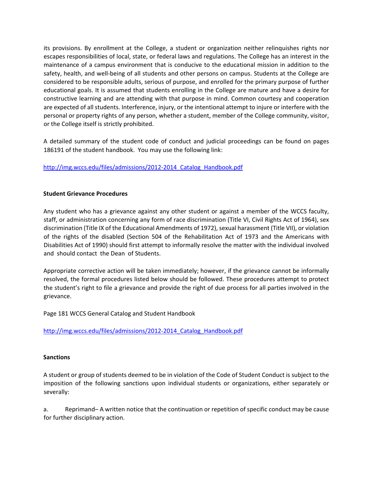its provisions. By enrollment at the College, a student or organization neither relinquishes rights nor escapes responsibilities of local, state, or federal laws and regulations. The College has an interest in the maintenance of a campus environment that is conducive to the educational mission in addition to the safety, health, and well-being of all students and other persons on campus. Students at the College are considered to be responsible adults, serious of purpose, and enrolled for the primary purpose of further educational goals. It is assumed that students enrolling in the College are mature and have a desire for constructive learning and are attending with that purpose in mind. Common courtesy and cooperation are expected of all students. Interference, injury, or the intentional attempt to injure or interfere with the personal or property rights of any person, whether a student, member of the College community, visitor, or the College itself is strictly prohibited.

A detailed summary of the student code of conduct and judicial proceedings can be found on pages 186191 of the student handbook. You may use the following link:

# http://img.wccs.edu/files/admissions/2012-2014 Catalog Handbook.pdf

#### **Student Grievance Procedures**

Any student who has a grievance against any other student or against a member of the WCCS faculty, staff, or administration concerning any form of race discrimination (Title VI, Civil Rights Act of 1964), sex discrimination (Title IX of the Educational Amendments of 1972), sexual harassment (Title VII), or violation of the rights of the disabled (Section 504 of the Rehabilitation Act of 1973 and the Americans with Disabilities Act of 1990) should first attempt to informally resolve the matter with the individual involved and should contact the Dean of Students.

Appropriate corrective action will be taken immediately; however, if the grievance cannot be informally resolved, the formal procedures listed below should be followed. These procedures attempt to protect the student's right to file a grievance and provide the right of due process for all parties involved in the grievance.

Page 181 WCCS General Catalog and Student Handbook

http://img.wccs.edu/files/admissions/2012‐2014\_Catalog\_Handbook.pdf

## **Sanctions**

A student or group of students deemed to be in violation of the Code of Student Conduct is subject to the imposition of the following sanctions upon individual students or organizations, either separately or severally:

a. Reprimand– A written notice that the continuation or repetition of specific conduct may be cause for further disciplinary action.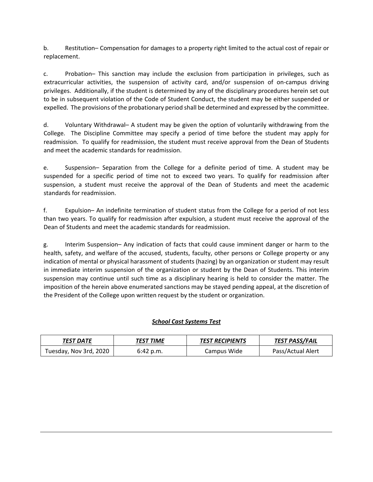b. Restitution– Compensation for damages to a property right limited to the actual cost of repair or replacement.

c. Probation– This sanction may include the exclusion from participation in privileges, such as extracurricular activities, the suspension of activity card, and/or suspension of on‐campus driving privileges. Additionally, if the student is determined by any of the disciplinary procedures herein set out to be in subsequent violation of the Code of Student Conduct, the student may be either suspended or expelled. The provisions of the probationary period shall be determined and expressed by the committee.

d. Voluntary Withdrawal– A student may be given the option of voluntarily withdrawing from the College. The Discipline Committee may specify a period of time before the student may apply for readmission. To qualify for readmission, the student must receive approval from the Dean of Students and meet the academic standards for readmission.

e. Suspension– Separation from the College for a definite period of time. A student may be suspended for a specific period of time not to exceed two years. To qualify for readmission after suspension, a student must receive the approval of the Dean of Students and meet the academic standards for readmission.

f. Expulsion– An indefinite termination of student status from the College for a period of not less than two years. To qualify for readmission after expulsion, a student must receive the approval of the Dean of Students and meet the academic standards for readmission.

g. Interim Suspension– Any indication of facts that could cause imminent danger or harm to the health, safety, and welfare of the accused, students, faculty, other persons or College property or any indication of mental or physical harassment of students (hazing) by an organization or student may result in immediate interim suspension of the organization or student by the Dean of Students. This interim suspension may continue until such time as a disciplinary hearing is held to consider the matter. The imposition of the herein above enumerated sanctions may be stayed pending appeal, at the discretion of the President of the College upon written request by the student or organization.

# *School Cast Systems Test*

| <b>TEST DATE</b>       | <b>TEST TIME</b> | <b>TEST RECIPIENTS</b> | TEST PASS/FAIL    |
|------------------------|------------------|------------------------|-------------------|
| Tuesday, Nov 3rd, 2020 | $6:42$ p.m.      | Campus Wide            | Pass/Actual Alert |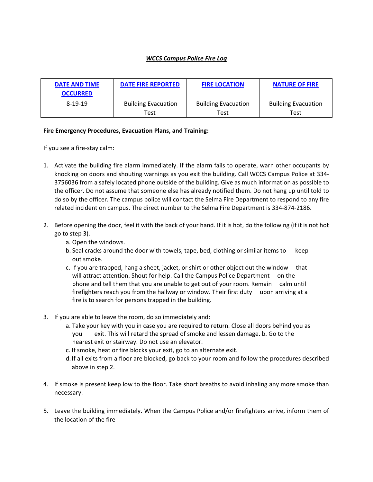# *WCCS Campus Police Fire Log*

| <b>DATE AND TIME</b><br><b>OCCURRED</b> | <b>DATE FIRE REPORTED</b>  | <b>FIRE LOCATION</b>       | <b>NATURE OF FIRE</b>      |
|-----------------------------------------|----------------------------|----------------------------|----------------------------|
| $8-19-19$                               | <b>Building Evacuation</b> | <b>Building Evacuation</b> | <b>Building Evacuation</b> |
|                                         | Test                       | Test                       | Test                       |

## **Fire Emergency Procedures, Evacuation Plans, and Training:**

If you see a fire‐stay calm:

- 1. Activate the building fire alarm immediately. If the alarm fails to operate, warn other occupants by knocking on doors and shouting warnings as you exit the building. Call WCCS Campus Police at 334‐ 3756036 from a safely located phone outside of the building. Give as much information as possible to the officer. Do not assume that someone else has already notified them. Do not hang up until told to do so by the officer. The campus police will contact the Selma Fire Department to respond to any fire related incident on campus. The direct number to the Selma Fire Department is 334‐874‐2186.
- 2. Before opening the door, feel it with the back of your hand. If it is hot, do the following (if it is not hot go to step 3).
	- a. Open the windows.
	- b. Seal cracks around the door with towels, tape, bed, clothing or similar items to keep out smoke.
	- c. If you are trapped, hang a sheet, jacket, or shirt or other object out the window that will attract attention. Shout for help. Call the Campus Police Department on the phone and tell them that you are unable to get out of your room. Remain calm until firefighters reach you from the hallway or window. Their first duty upon arriving at a fire is to search for persons trapped in the building.
- 3. If you are able to leave the room, do so immediately and:
	- a. Take your key with you in case you are required to return. Close all doors behind you as you exit. This will retard the spread of smoke and lessen damage. b. Go to the nearest exit or stairway. Do not use an elevator.
	- c. If smoke, heat or fire blocks your exit, go to an alternate exit.
	- d. If all exits from a floor are blocked, go back to your room and follow the procedures described above in step 2.
- 4. If smoke is present keep low to the floor. Take short breaths to avoid inhaling any more smoke than necessary.
- 5. Leave the building immediately. When the Campus Police and/or firefighters arrive, inform them of the location of the fire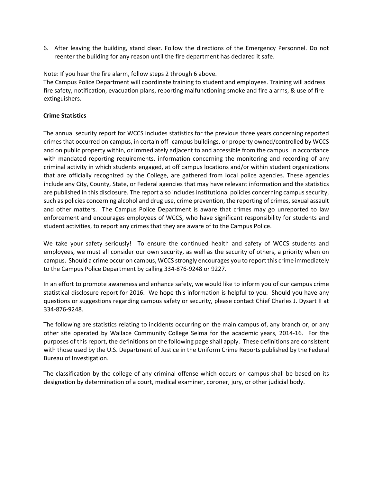6. After leaving the building, stand clear. Follow the directions of the Emergency Personnel. Do not reenter the building for any reason until the fire department has declared it safe.

Note: If you hear the fire alarm, follow steps 2 through 6 above.

The Campus Police Department will coordinate training to student and employees. Training will address fire safety, notification, evacuation plans, reporting malfunctioning smoke and fire alarms, & use of fire extinguishers.

# **Crime Statistics**

The annual security report for WCCS includes statistics for the previous three years concerning reported crimes that occurred on campus, in certain off ‐campus buildings, or property owned/controlled by WCCS and on public property within, or immediately adjacent to and accessible from the campus. In accordance with mandated reporting requirements, information concerning the monitoring and recording of any criminal activity in which students engaged, at off campus locations and/or within student organizations that are officially recognized by the College, are gathered from local police agencies. These agencies include any City, County, State, or Federal agencies that may have relevant information and the statistics are published in this disclosure. The report also includes institutional policies concerning campus security, such as policies concerning alcohol and drug use, crime prevention, the reporting of crimes, sexual assault and other matters. The Campus Police Department is aware that crimes may go unreported to law enforcement and encourages employees of WCCS, who have significant responsibility for students and student activities, to report any crimes that they are aware of to the Campus Police.

We take your safety seriously! To ensure the continued health and safety of WCCS students and employees, we must all consider our own security, as well as the security of others, a priority when on campus. Should a crime occur on campus, WCCS strongly encourages you to report this crime immediately to the Campus Police Department by calling 334‐876‐9248 or 9227.

In an effort to promote awareness and enhance safety, we would like to inform you of our campus crime statistical disclosure report for 2016. We hope this information is helpful to you. Should you have any questions or suggestions regarding campus safety or security, please contact Chief Charles J. Dysart II at 334‐876‐9248.

The following are statistics relating to incidents occurring on the main campus of, any branch or, or any other site operated by Wallace Community College Selma for the academic years, 2014-16. For the purposes of this report, the definitions on the following page shall apply. These definitions are consistent with those used by the U.S. Department of Justice in the Uniform Crime Reports published by the Federal Bureau of Investigation.

The classification by the college of any criminal offense which occurs on campus shall be based on its designation by determination of a court, medical examiner, coroner, jury, or other judicial body.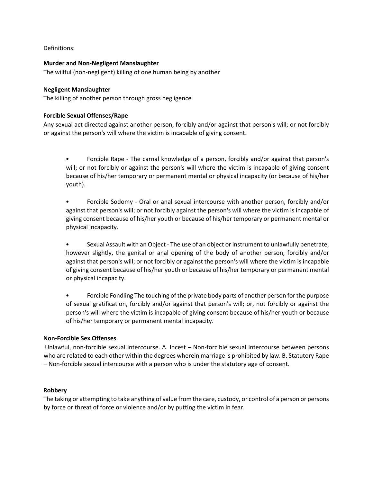Definitions:

# **Murder and Non‐Negligent Manslaughter**

The willful (non‐negligent) killing of one human being by another

# **Negligent Manslaughter**

The killing of another person through gross negligence

# **Forcible Sexual Offenses/Rape**

Any sexual act directed against another person, forcibly and/or against that person's will; or not forcibly or against the person's will where the victim is incapable of giving consent.

• Forcible Rape - The carnal knowledge of a person, forcibly and/or against that person's will; or not forcibly or against the person's will where the victim is incapable of giving consent because of his/her temporary or permanent mental or physical incapacity (or because of his/her youth).

• Forcible Sodomy ‐ Oral or anal sexual intercourse with another person, forcibly and/or against that person's will; or not forcibly against the person's will where the victim is incapable of giving consent because of his/her youth or because of his/her temporary or permanent mental or physical incapacity.

• Sexual Assault with an Object ‐ The use of an object or instrument to unlawfully penetrate, however slightly, the genital or anal opening of the body of another person, forcibly and/or against that person's will; or not forcibly or against the person's will where the victim is incapable of giving consent because of his/her youth or because of his/her temporary or permanent mental or physical incapacity.

• Forcible Fondling The touching of the private body parts of another person forthe purpose of sexual gratification, forcibly and/or against that person's will; or, not forcibly or against the person's will where the victim is incapable of giving consent because of his/her youth or because of his/her temporary or permanent mental incapacity.

# **Non‐Forcible Sex Offenses**

Unlawful, non‐forcible sexual intercourse. A. Incest – Non‐forcible sexual intercourse between persons who are related to each other within the degrees wherein marriage is prohibited by law. B. Statutory Rape – Non‐forcible sexual intercourse with a person who is under the statutory age of consent.

## **Robbery**

The taking or attempting to take anything of value from the care, custody, or control of a person or persons by force or threat of force or violence and/or by putting the victim in fear.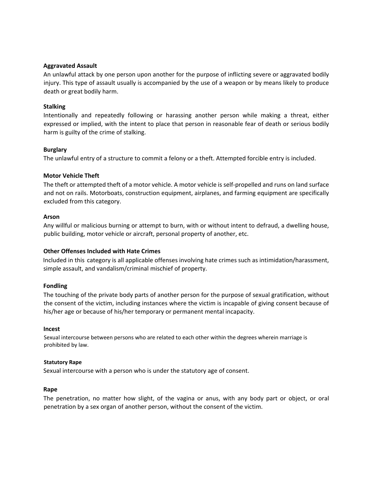#### **Aggravated Assault**

An unlawful attack by one person upon another for the purpose of inflicting severe or aggravated bodily injury. This type of assault usually is accompanied by the use of a weapon or by means likely to produce death or great bodily harm.

#### **Stalking**

Intentionally and repeatedly following or harassing another person while making a threat, either expressed or implied, with the intent to place that person in reasonable fear of death or serious bodily harm is guilty of the crime of stalking.

#### **Burglary**

The unlawful entry of a structure to commit a felony or a theft. Attempted forcible entry is included.

#### **Motor Vehicle Theft**

The theft or attempted theft of a motor vehicle. A motor vehicle is self‐propelled and runs on land surface and not on rails. Motorboats, construction equipment, airplanes, and farming equipment are specifically excluded from this category.

#### **Arson**

Any willful or malicious burning or attempt to burn, with or without intent to defraud, a dwelling house, public building, motor vehicle or aircraft, personal property of another, etc.

## **Other Offenses Included with Hate Crimes**

Included in this category is all applicable offenses involving hate crimes such as intimidation/harassment, simple assault, and vandalism/criminal mischief of property.

#### **Fondling**

The touching of the private body parts of another person for the purpose of sexual gratification, without the consent of the victim, including instances where the victim is incapable of giving consent because of his/her age or because of his/her temporary or permanent mental incapacity.

#### **Incest**

Sexual intercourse between persons who are related to each other within the degrees wherein marriage is prohibited by law.

#### **Statutory Rape**

Sexual intercourse with a person who is under the statutory age of consent.

#### **Rape**

The penetration, no matter how slight, of the vagina or anus, with any body part or object, or oral penetration by a sex organ of another person, without the consent of the victim.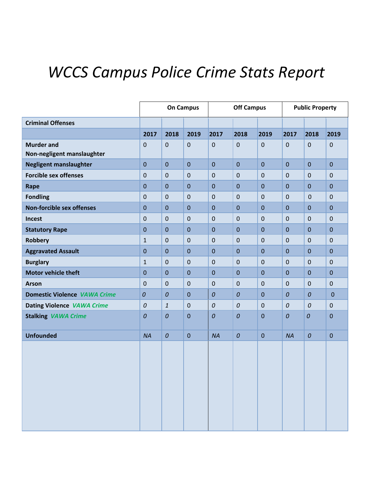# *WCCS Campus Police Crime Stats Report*

|                                                 | <b>On Campus</b> |                  |                  | <b>Off Campus</b> |                  |                  | <b>Public Property</b> |                  |                  |
|-------------------------------------------------|------------------|------------------|------------------|-------------------|------------------|------------------|------------------------|------------------|------------------|
| <b>Criminal Offenses</b>                        |                  |                  |                  |                   |                  |                  |                        |                  |                  |
|                                                 | 2017             | 2018             | 2019             | 2017              | 2018             | 2019             | 2017                   | 2018             | 2019             |
| <b>Murder and</b><br>Non-negligent manslaughter | $\mathbf 0$      | $\boldsymbol{0}$ | $\pmb{0}$        | $\mathbf 0$       | $\mathbf 0$      | $\boldsymbol{0}$ | $\mathbf 0$            | $\mathbf 0$      | $\pmb{0}$        |
| <b>Negligent manslaughter</b>                   | $\mathbf 0$      | $\mathbf 0$      | $\mathbf 0$      | $\mathbf{0}$      | $\mathbf{0}$     | $\mathbf 0$      | $\mathbf{0}$           | $\overline{0}$   | $\overline{0}$   |
| <b>Forcible sex offenses</b>                    | $\pmb{0}$        | $\boldsymbol{0}$ | $\mathbf 0$      | $\pmb{0}$         | $\mathbf 0$      | $\boldsymbol{0}$ | $\mathbf{0}$           | $\mathbf{0}$     | $\pmb{0}$        |
| Rape                                            | $\mathbf 0$      | $\mathbf 0$      | $\mathbf 0$      | $\overline{0}$    | $\overline{0}$   | $\mathbf{0}$     | $\mathbf{0}$           | $\mathbf{0}$     | $\overline{0}$   |
| <b>Fondling</b>                                 | $\boldsymbol{0}$ | $\mathbf 0$      | $\pmb{0}$        | $\mathbf 0$       | $\mathbf 0$      | $\boldsymbol{0}$ | $\mathbf{0}$           | $\Omega$         | $\mathbf{0}$     |
| <b>Non-forcible sex offenses</b>                | $\mathbf 0$      | $\mathbf{0}$     | $\mathbf 0$      | $\overline{0}$    | $\mathbf 0$      | $\mathbf{0}$     | $\mathbf{0}$           | $\mathbf{0}$     | $\overline{0}$   |
| <b>Incest</b>                                   | $\mathbf 0$      | $\mathbf 0$      | $\pmb{0}$        | $\mathbf 0$       | $\mathbf 0$      | $\mathbf{0}$     | $\mathbf{0}$           | $\mathbf{0}$     | $\mathbf{0}$     |
| <b>Statutory Rape</b>                           | $\mathbf 0$      | $\mathbf{0}$     | $\mathbf 0$      | $\overline{0}$    | $\mathbf 0$      | $\mathbf 0$      | $\mathbf{0}$           | $\mathbf{0}$     | $\boldsymbol{0}$ |
| <b>Robbery</b>                                  | $\mathbf{1}$     | $\mathbf 0$      | $\pmb{0}$        | $\mathbf 0$       | $\mathbf 0$      | $\boldsymbol{0}$ | $\mathbf{0}$           | $\mathbf{0}$     | $\pmb{0}$        |
| <b>Aggravated Assault</b>                       | $\mathbf 0$      | $\mathbf{0}$     | $\boldsymbol{0}$ | $\mathbf 0$       | $\mathbf 0$      | $\mathbf 0$      | $\mathbf{0}$           | $\mathbf{0}$     | $\boldsymbol{0}$ |
| <b>Burglary</b>                                 | $\mathbf{1}$     | $\boldsymbol{0}$ | $\mathbf 0$      | $\mathbf{0}$      | $\overline{0}$   | $\boldsymbol{0}$ | $\mathbf 0$            | $\mathbf{0}$     | $\mathbf{0}$     |
| <b>Motor vehicle theft</b>                      | $\mathbf{0}$     | $\mathbf{0}$     | $\mathbf 0$      | $\mathbf 0$       | $\mathbf 0$      | $\mathbf{0}$     | $\mathbf{0}$           | $\mathbf 0$      | $\mathbf{0}$     |
| <b>Arson</b>                                    | $\mathbf 0$      | $\mathbf 0$      | $\mathbf 0$      | $\mathbf{0}$      | $\overline{0}$   | $\mathbf{0}$     | $\mathbf 0$            | $\mathbf{0}$     | $\mathbf{0}$     |
| <b>Domestic Violence VAWA Crime</b>             | $\boldsymbol{0}$ | $\mathcal{O}$    | $\mathbf 0$      | $\boldsymbol{0}$  | $\boldsymbol{0}$ | $\mathbf{0}$     | $\boldsymbol{0}$       | $\boldsymbol{0}$ | $\mathbf{0}$     |
| Dating Violence VAWA Crime                      | $\mathcal{O}$    | $\mathbf{1}$     | $\mathbf 0$      | $\mathcal O$      | $\boldsymbol{0}$ | $\mathbf{0}$     | $\boldsymbol{0}$       | $\boldsymbol{0}$ | $\mathbf{0}$     |
| <b>Stalking VAWA Crime</b>                      | $\boldsymbol{0}$ | $\mathcal{O}$    | $\mathbf 0$      | $\boldsymbol{0}$  | $\mathcal{O}$    | $\mathbf{0}$     | $\mathcal{O}$          | $\boldsymbol{0}$ | $\overline{0}$   |
| <b>Unfounded</b>                                | <b>NA</b>        | $\cal O$         | $\boldsymbol{0}$ | <b>NA</b>         | $\it{O}$         | $\mathbf 0$      | <b>NA</b>              | $\mathcal O$     | $\boldsymbol{0}$ |
|                                                 |                  |                  |                  |                   |                  |                  |                        |                  |                  |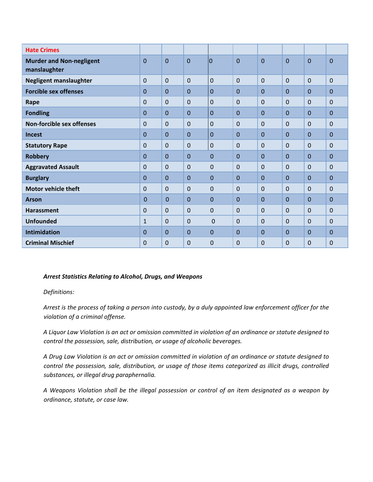| <b>Hate Crimes</b>               |                  |                |              |                |                |              |                |                |                |
|----------------------------------|------------------|----------------|--------------|----------------|----------------|--------------|----------------|----------------|----------------|
| <b>Murder and Non-negligent</b>  | $\overline{0}$   | $\mathbf{0}$   | $\mathbf 0$  | $\overline{0}$ | $\overline{0}$ | $\mathbf{0}$ | $\overline{0}$ | $\mathbf{0}$   | $\overline{0}$ |
| manslaughter                     |                  |                |              |                |                |              |                |                |                |
| Negligent manslaughter           | $\mathbf 0$      | $\overline{0}$ | $\mathbf 0$  | $\overline{0}$ | $\Omega$       | $\mathbf{0}$ | $\overline{0}$ | $\mathbf{0}$   | $\Omega$       |
| <b>Forcible sex offenses</b>     | $\mathbf{0}$     | $\mathbf 0$    | $\mathbf 0$  | $\Omega$       | 0              | $\Omega$     | $\Omega$       | $\overline{0}$ | $\Omega$       |
| Rape                             | $\mathbf 0$      | $\theta$       | $\mathbf 0$  | $\mathbf 0$    | $\Omega$       | $\mathbf 0$  | $\Omega$       | $\Omega$       | $\mathbf 0$    |
| <b>Fondling</b>                  | $\boldsymbol{0}$ | $\mathbf 0$    | $\mathbf 0$  | $\Omega$       | $\overline{0}$ | $\mathbf{0}$ | $\Omega$       | $\Omega$       | $\mathbf{0}$   |
| <b>Non-forcible sex offenses</b> | $\mathbf 0$      | $\mathbf 0$    | $\mathbf 0$  | $\mathbf 0$    | $\Omega$       | $\mathbf 0$  | $\Omega$       | $\mathbf{0}$   | $\Omega$       |
| <b>Incest</b>                    | $\mathbf{0}$     | $\mathbf 0$    | $\mathbf 0$  | $\Omega$       | $\Omega$       | $\Omega$     | $\Omega$       | $\mathbf{0}$   | $\Omega$       |
| <b>Statutory Rape</b>            | $\pmb{0}$        | $\mathbf{0}$   | $\mathbf{0}$ | $\mathbf{0}$   | $\Omega$       | $\mathbf 0$  | $\Omega$       | $\mathbf{0}$   | $\mathbf 0$    |
| <b>Robbery</b>                   | $\mathbf{0}$     | $\mathbf 0$    | $\mathbf 0$  | $\mathbf 0$    | $\Omega$       | $\mathbf{0}$ | $\mathbf{0}$   | $\mathbf{0}$   | $\mathbf{0}$   |
| <b>Aggravated Assault</b>        | $\mathbf 0$      | $\mathbf{0}$   | $\mathbf 0$  | $\Omega$       | $\Omega$       | $\mathbf 0$  | $\Omega$       | $\mathbf{0}$   | $\mathbf{0}$   |
| <b>Burglary</b>                  | $\mathbf{0}$     | $\mathbf 0$    | $\mathbf 0$  | $\mathbf 0$    | 0              | $\mathbf{0}$ | $\Omega$       | $\mathbf{0}$   | $\Omega$       |
| <b>Motor vehicle theft</b>       | $\mathbf{0}$     | $\mathbf 0$    | $\mathbf 0$  | $\Omega$       | $\Omega$       | $\mathbf 0$  | $\Omega$       | $\Omega$       | $\Omega$       |
| <b>Arson</b>                     | $\mathbf 0$      | $\mathbf{0}$   | $\mathbf 0$  | $\overline{0}$ | $\Omega$       | $\Omega$     | $\Omega$       | $\Omega$       | $\Omega$       |
| <b>Harassment</b>                | $\mathbf 0$      | $\mathbf 0$    | $\mathbf 0$  | $\Omega$       | $\Omega$       | $\Omega$     | $\Omega$       | $\Omega$       | $\Omega$       |
| <b>Unfounded</b>                 | $\mathbf{1}$     | $\mathbf 0$    | $\mathbf 0$  | $\Omega$       | $\Omega$       | $\mathbf 0$  | $\Omega$       | $\Omega$       | $\Omega$       |
| <b>Intimidation</b>              | $\Omega$         | $\mathbf 0$    | $\mathbf{0}$ | $\Omega$       | $\overline{0}$ | $\Omega$     | $\Omega$       | $\Omega$       | $\Omega$       |
| <b>Criminal Mischief</b>         | $\mathbf{0}$     | $\mathbf 0$    | $\mathbf 0$  | $\mathbf 0$    | $\Omega$       | $\Omega$     | $\Omega$       | 0              | $\Omega$       |

# *Arrest Statistics Relating to Alcohol, Drugs, and Weapons*

## *Definitions:*

Arrest is the process of taking a person into custody, by a duly appointed law enforcement officer for the *violation of a criminal offense.*

A Liquor Law Violation is an act or omission committed in violation of an ordinance or statute designed to *control the possession, sale, distribution, or usage of alcoholic beverages.*

A Drug Law Violation is an act or omission committed in violation of an ordinance or statute designed to *control the possession, sale, distribution, or usage of those items categorized as illicit drugs, controlled substances, or illegal drug paraphernalia.*

A Weapons Violation shall be the illegal possession or control of an item designated as a weapon by *ordinance, statute, or case law.*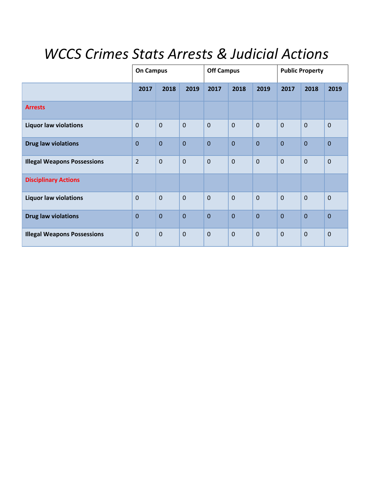|                                    | <b>On Campus</b> |                |                | <b>Off Campus</b> |                |                | <b>Public Property</b> |                |                |
|------------------------------------|------------------|----------------|----------------|-------------------|----------------|----------------|------------------------|----------------|----------------|
|                                    | 2017             | 2018           | 2019           | 2017              | 2018           | 2019           | 2017                   | 2018           | 2019           |
| <b>Arrests</b>                     |                  |                |                |                   |                |                |                        |                |                |
| <b>Liquor law violations</b>       | $\mathbf 0$      | $\overline{0}$ | $\mathbf{0}$   | $\mathbf{0}$      | $\overline{0}$ | $\mathbf 0$    | $\mathbf{0}$           | $\overline{0}$ | $\overline{0}$ |
| <b>Drug law violations</b>         | $\overline{0}$   | $\overline{0}$ | $\overline{0}$ | $\overline{0}$    | $\overline{0}$ | $\mathbf{0}$   | $\overline{0}$         | $\overline{0}$ | $\overline{0}$ |
| <b>Illegal Weapons Possessions</b> | $\overline{2}$   | $\mathbf{0}$   | $\mathbf 0$    | $\overline{0}$    | $\mathbf{0}$   | $\overline{0}$ | $\overline{0}$         | $\overline{0}$ | $\mathbf{0}$   |
| <b>Disciplinary Actions</b>        |                  |                |                |                   |                |                |                        |                |                |
| <b>Liquor law violations</b>       | $\mathbf{0}$     | $\overline{0}$ | $\mathbf{0}$   | $\Omega$          | $\overline{0}$ | $\mathbf 0$    | $\mathbf{0}$           | $\overline{0}$ | $\overline{0}$ |
| <b>Drug law violations</b>         | $\overline{0}$   | $\overline{0}$ | $\mathbf{0}$   | $\overline{0}$    | $\overline{0}$ | $\mathbf{0}$   | $\overline{0}$         | $\overline{0}$ | $\overline{0}$ |
| <b>Illegal Weapons Possessions</b> | $\mathbf 0$      | $\mathbf 0$    | $\mathbf{0}$   | $\mathbf 0$       | $\overline{0}$ | $\mathbf 0$    | $\mathbf{0}$           | $\mathbf{0}$   | $\overline{0}$ |

# *WCCS Crimes Stats Arrests & Judicial Actions*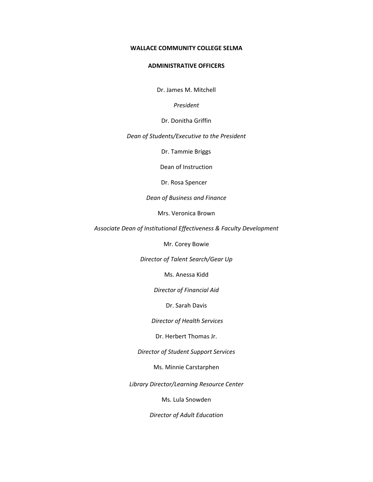#### **WALLACE COMMUNITY COLLEGE SELMA**

#### **ADMINISTRATIVE OFFICERS**

Dr. James M. Mitchell

*President*

Dr. Donitha Griffin

*Dean of Students/Executive to the President*

Dr. Tammie Briggs

Dean of Instruction

Dr. Rosa Spencer

*Dean of Business and Finance*

Mrs. Veronica Brown

*Associate Dean of Institutional Effectiveness & Faculty Development*

Mr. Corey Bowie

*Director of Talent Search/Gear Up*

Ms. Anessa Kidd

*Director of Financial Aid*

Dr. Sarah Davis

 *Director of Health Services*

Dr. Herbert Thomas Jr.

*Director of Student Support Services*

Ms. Minnie Carstarphen

*Library Director/Learning Resource Center*

Ms. Lula Snowden

*Director of Adult Education*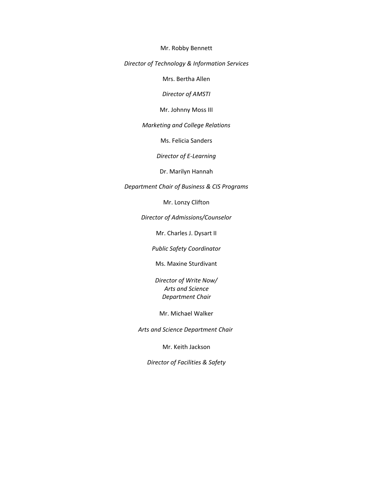Mr. Robby Bennett

*Director of Technology & Information Services*

Mrs. Bertha Allen

*Director of AMSTI*

Mr. Johnny Moss III

*Marketing and College Relations*

Ms. Felicia Sanders

*Director of E‐Learning*

Dr. Marilyn Hannah

*Department Chair of Business & CIS Programs*

Mr. Lonzy Clifton

*Director of Admissions/Counselor*

Mr. Charles J. Dysart II

*Public Safety Coordinator*

Ms. Maxine Sturdivant

*Director of Write Now/ Arts and Science Department Chair*

Mr. Michael Walker

 *Arts and Science Department Chair*

Mr. Keith Jackson

*Director of Facilities & Safety*